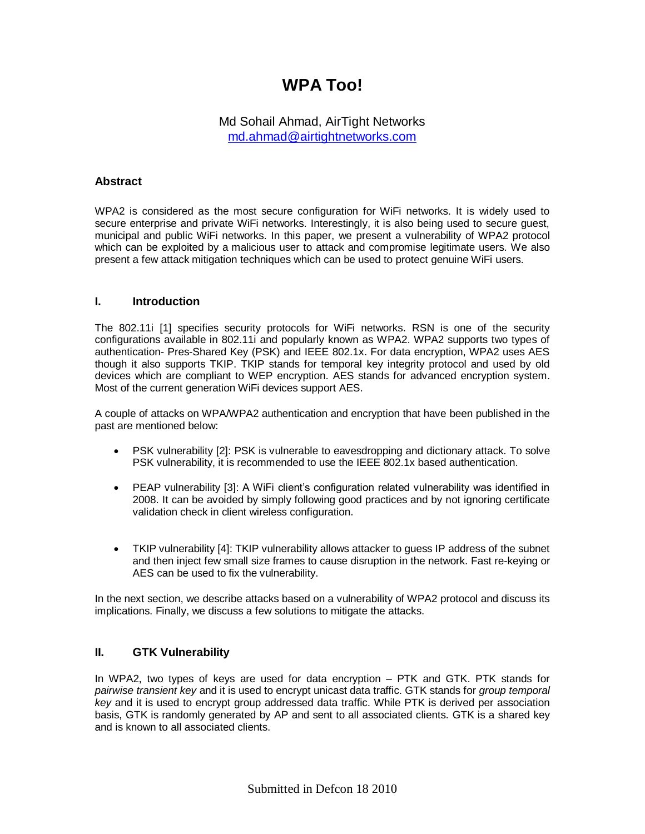# **WPA Too!**

# Md Sohail Ahmad, AirTight Networks [md.ahmad@airtightnetworks.com](mailto:md.ahmad@airtightnetworks.com)

## **Abstract**

WPA2 is considered as the most secure configuration for WiFi networks. It is widely used to secure enterprise and private WiFi networks. Interestingly, it is also being used to secure guest, municipal and public WiFi networks. In this paper, we present a vulnerability of WPA2 protocol which can be exploited by a malicious user to attack and compromise legitimate users. We also present a few attack mitigation techniques which can be used to protect genuine WiFi users.

## **I. Introduction**

The 802.11i [1] specifies security protocols for WiFi networks. RSN is one of the security configurations available in 802.11i and popularly known as WPA2. WPA2 supports two types of authentication- Pres-Shared Key (PSK) and IEEE 802.1x. For data encryption, WPA2 uses AES though it also supports TKIP. TKIP stands for temporal key integrity protocol and used by old devices which are compliant to WEP encryption. AES stands for advanced encryption system. Most of the current generation WiFi devices support AES.

A couple of attacks on WPA/WPA2 authentication and encryption that have been published in the past are mentioned below:

- PSK vulnerability [2]: PSK is vulnerable to eavesdropping and dictionary attack. To solve PSK vulnerability, it is recommended to use the IEEE 802.1x based authentication.
- PEAP vulnerability [3]: A WiFi client's configuration related vulnerability was identified in 2008. It can be avoided by simply following good practices and by not ignoring certificate validation check in client wireless configuration.
- TKIP vulnerability [4]: TKIP vulnerability allows attacker to guess IP address of the subnet and then inject few small size frames to cause disruption in the network. Fast re-keying or AES can be used to fix the vulnerability.

In the next section, we describe attacks based on a vulnerability of WPA2 protocol and discuss its implications. Finally, we discuss a few solutions to mitigate the attacks.

## **II. GTK Vulnerability**

In WPA2, two types of keys are used for data encryption – PTK and GTK. PTK stands for *pairwise transient key* and it is used to encrypt unicast data traffic. GTK stands for *group temporal key* and it is used to encrypt group addressed data traffic. While PTK is derived per association basis, GTK is randomly generated by AP and sent to all associated clients. GTK is a shared key and is known to all associated clients.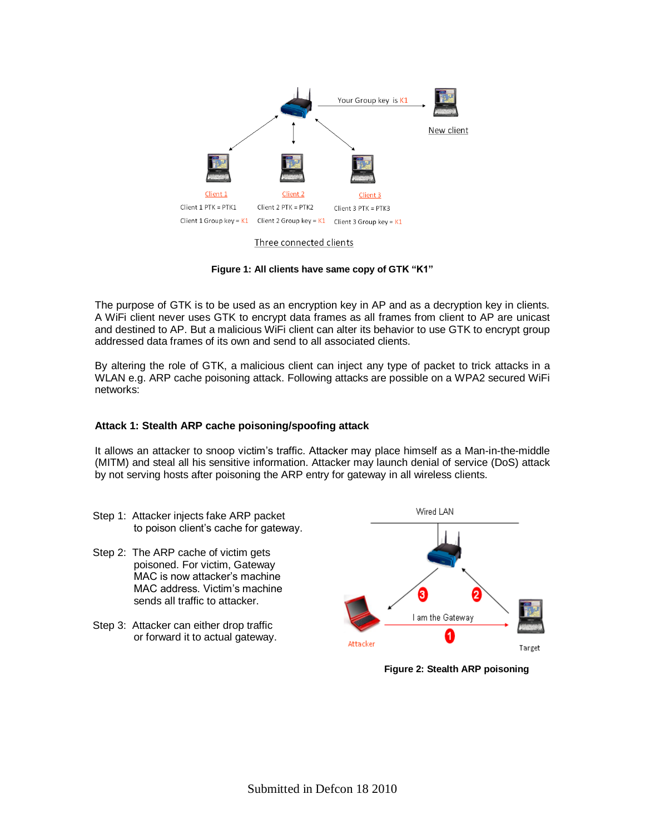

**Figure 1: All clients have same copy of GTK "K1"**

The purpose of GTK is to be used as an encryption key in AP and as a decryption key in clients. A WiFi client never uses GTK to encrypt data frames as all frames from client to AP are unicast and destined to AP. But a malicious WiFi client can alter its behavior to use GTK to encrypt group addressed data frames of its own and send to all associated clients.

By altering the role of GTK, a malicious client can inject any type of packet to trick attacks in a WLAN e.g. ARP cache poisoning attack. Following attacks are possible on a WPA2 secured WiFi networks:

## **Attack 1: Stealth ARP cache poisoning/spoofing attack**

It allows an attacker to snoop victim's traffic. Attacker may place himself as a Man-in-the-middle (MITM) and steal all his sensitive information. Attacker may launch denial of service (DoS) attack by not serving hosts after poisoning the ARP entry for gateway in all wireless clients.

- Step 1: Attacker injects fake ARP packet to poison client's cache for gateway.
- Step 2: The ARP cache of victim gets poisoned. For victim, Gateway MAC is now attacker's machine MAC address. Victim's machine sends all traffic to attacker.
- Step 3: Attacker can either drop traffic or forward it to actual gateway.



 **Figure 2: Stealth ARP poisoning**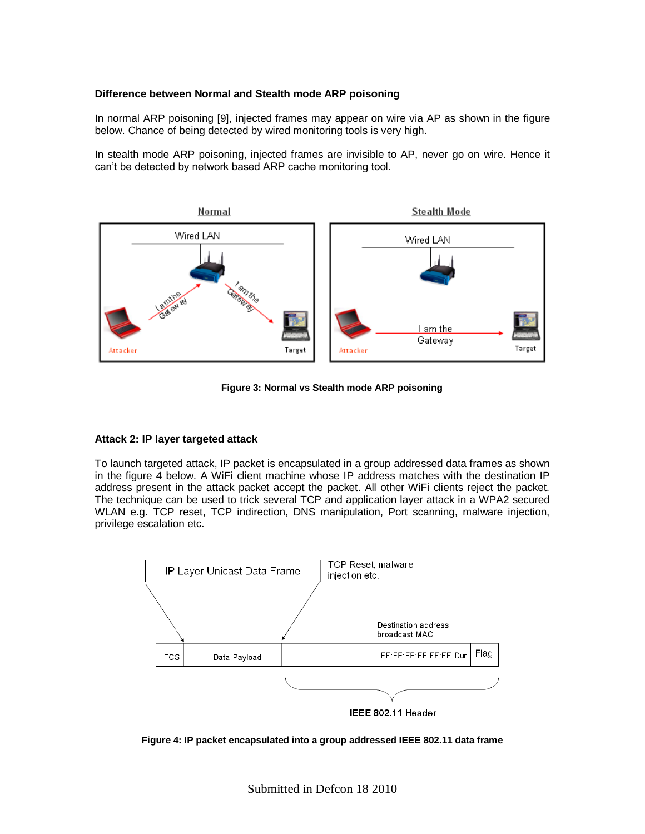### **Difference between Normal and Stealth mode ARP poisoning**

In normal ARP poisoning [9], injected frames may appear on wire via AP as shown in the figure below. Chance of being detected by wired monitoring tools is very high.

In stealth mode ARP poisoning, injected frames are invisible to AP, never go on wire. Hence it can't be detected by network based ARP cache monitoring tool.



**Figure 3: Normal vs Stealth mode ARP poisoning**

#### **Attack 2: IP layer targeted attack**

To launch targeted attack, IP packet is encapsulated in a group addressed data frames as shown in the figure 4 below. A WiFi client machine whose IP address matches with the destination IP address present in the attack packet accept the packet. All other WiFi clients reject the packet. The technique can be used to trick several TCP and application layer attack in a WPA2 secured WLAN e.g. TCP reset, TCP indirection, DNS manipulation, Port scanning, malware injection, privilege escalation etc.



**Figure 4: IP packet encapsulated into a group addressed IEEE 802.11 data frame**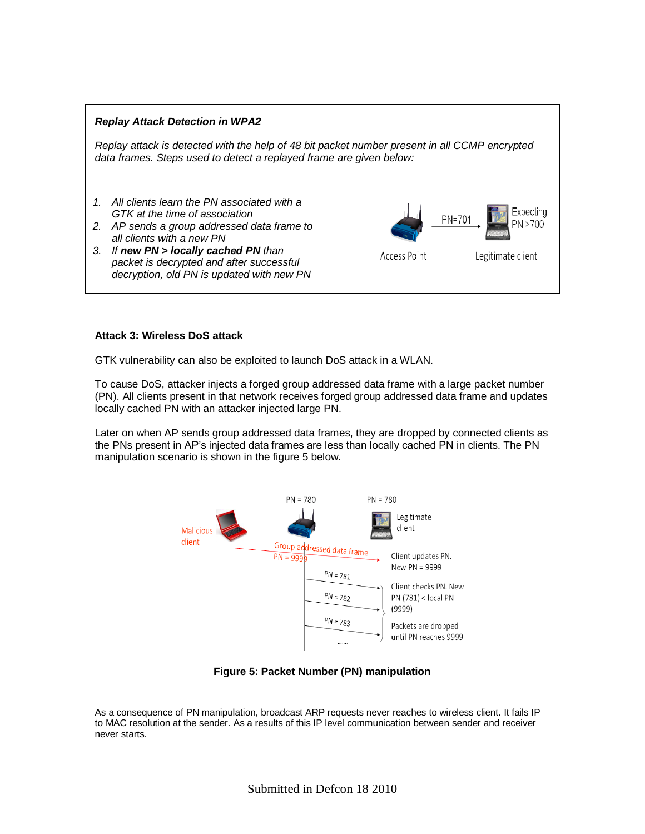

#### **Attack 3: Wireless DoS attack**

GTK vulnerability can also be exploited to launch DoS attack in a WLAN.

To cause DoS, attacker injects a forged group addressed data frame with a large packet number (PN). All clients present in that network receives forged group addressed data frame and updates locally cached PN with an attacker injected large PN.

Later on when AP sends group addressed data frames, they are dropped by connected clients as the PNs present in AP's injected data frames are less than locally cached PN in clients. The PN manipulation scenario is shown in the figure 5 below.



**Figure 5: Packet Number (PN) manipulation** 

As a consequence of PN manipulation, broadcast ARP requests never reaches to wireless client. It fails IP to MAC resolution at the sender. As a results of this IP level communication between sender and receiver never starts.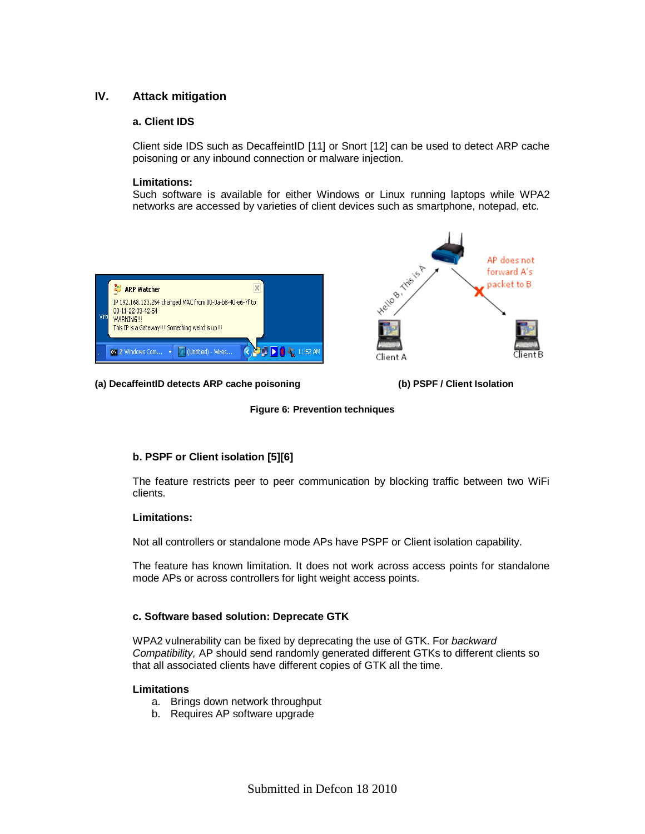# **IV. Attack mitigation**

## **a. Client IDS**

Client side IDS such as DecaffeintID [11] or Snort [12] can be used to detect ARP cache poisoning or any inbound connection or malware injection.

#### **Limitations:**

Such software is available for either Windows or Linux running laptops while WPA2 networks are accessed by varieties of client devices such as smartphone, notepad, etc.



**(a) DecaffeintID detects ARP cache poisoning (b) PSPF / Client Isolation**

### **Figure 6: Prevention techniques**

## **b. PSPF or Client isolation [5][6]**

The feature restricts peer to peer communication by blocking traffic between two WiFi clients.

#### **Limitations:**

Not all controllers or standalone mode APs have PSPF or Client isolation capability.

The feature has known limitation. It does not work across access points for standalone mode APs or across controllers for light weight access points.

## **c. Software based solution: Deprecate GTK**

WPA2 vulnerability can be fixed by deprecating the use of GTK. For *backward Compatibility,* AP should send randomly generated different GTKs to different clients so that all associated clients have different copies of GTK all the time.

#### **Limitations**

- a. Brings down network throughput
- b. Requires AP software upgrade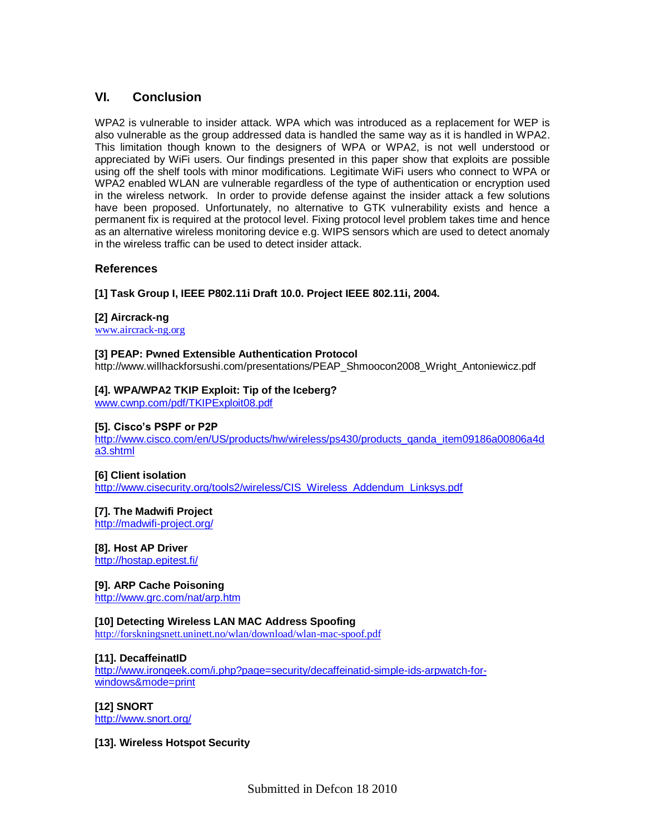# **VI. Conclusion**

WPA2 is vulnerable to insider attack. WPA which was introduced as a replacement for WEP is also vulnerable as the group addressed data is handled the same way as it is handled in WPA2. This limitation though known to the designers of WPA or WPA2, is not well understood or appreciated by WiFi users. Our findings presented in this paper show that exploits are possible using off the shelf tools with minor modifications. Legitimate WiFi users who connect to WPA or WPA2 enabled WLAN are vulnerable regardless of the type of authentication or encryption used in the wireless network. In order to provide defense against the insider attack a few solutions have been proposed. Unfortunately, no alternative to GTK vulnerability exists and hence a permanent fix is required at the protocol level. Fixing protocol level problem takes time and hence as an alternative wireless monitoring device e.g. WIPS sensors which are used to detect anomaly in the wireless traffic can be used to detect insider attack.

## **References**

**[1] Task Group I, IEEE P802.11i Draft 10.0. Project IEEE 802.11i, 2004.**

#### **[2] Aircrack-ng**

[www.aircrack-ng.org](http://www.aircrack-ng.org/)

#### **[3] PEAP: Pwned Extensible Authentication Protocol**

[http://www.willhackforsushi.com/presentations/PEAP\\_Shmoocon2008\\_Wright\\_Antoniewicz.pdf](http://www.willhackforsushi.com/presentations/PEAP_Shmoocon2008_Wright_Antoniewicz.pdf)

#### **[4]. WPA/WPA2 TKIP Exploit: Tip of the Iceberg?**

[www.cwnp.com/pdf/TKIPExploit08.pdf](http://www.cwnp.com/pdf/TKIPExploit08.pdf)

#### **[5]. Cisco's PSPF or P2P**

[http://www.cisco.com/en/US/products/hw/wireless/ps430/products\\_qanda\\_item09186a008](http://www.cisco.com/en/US/products/hw/wireless/ps430/products_qanda_item09186a00)06a4d a3.shtml

#### **[6] Client isolation**

[http://www.cisecurity.org/tools2/wireless/CIS\\_Wireless\\_Addendum\\_Linksys.pdf](http://www.cisecurity.org/tools2/wireless/CIS_Wireless_Addendum_Linksys.pdf)

#### **[7]. The Madwifi Project**

<http://madwifi-project.org/>

**[8]. Host AP Driver**

<http://hostap.epitest.fi/>

#### **[9]. ARP Cache Poisoning**

<http://www.grc.com/nat/arp.htm>

#### **[10] Detecting Wireless LAN MAC Address Spoofing**

<http://forskningsnett.uninett.no/wlan/download/wlan-mac-spoof.pdf>

#### **[11]. DecaffeinatID**

[http://www.irongeek.com/i.php?page=security/decaffeinatid-simple-ids-arpwatch-for](http://www.irongeek.com/i.php?page=security/decaffeinatid-simple-ids-arpwatch-for-%20windows&mode=print)[windows&mode=print](http://www.irongeek.com/i.php?page=security/decaffeinatid-simple-ids-arpwatch-for-%20windows&mode=print)

#### **[12] SNORT**

<http://www.snort.org/>

#### **[13]. Wireless Hotspot Security**